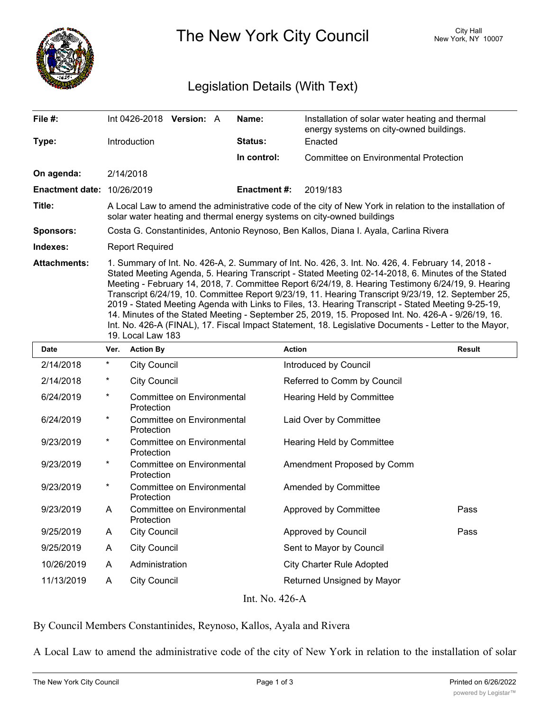

The New York City Council New York, NY 10007

## Legislation Details (With Text)

| File #:                           | Int 0426-2018 <b>Version:</b> A                                                                                                                                                                                                                                                                                                                                                                                                                                                                                                                                                                                                                                                                                                           |  |  | Name:               | Installation of solar water heating and thermal<br>energy systems on city-owned buildings. |  |  |
|-----------------------------------|-------------------------------------------------------------------------------------------------------------------------------------------------------------------------------------------------------------------------------------------------------------------------------------------------------------------------------------------------------------------------------------------------------------------------------------------------------------------------------------------------------------------------------------------------------------------------------------------------------------------------------------------------------------------------------------------------------------------------------------------|--|--|---------------------|--------------------------------------------------------------------------------------------|--|--|
| Type:                             | <b>Introduction</b>                                                                                                                                                                                                                                                                                                                                                                                                                                                                                                                                                                                                                                                                                                                       |  |  | <b>Status:</b>      | Enacted                                                                                    |  |  |
|                                   |                                                                                                                                                                                                                                                                                                                                                                                                                                                                                                                                                                                                                                                                                                                                           |  |  | In control:         | Committee on Environmental Protection                                                      |  |  |
| On agenda:                        | 2/14/2018                                                                                                                                                                                                                                                                                                                                                                                                                                                                                                                                                                                                                                                                                                                                 |  |  |                     |                                                                                            |  |  |
| <b>Enactment date: 10/26/2019</b> |                                                                                                                                                                                                                                                                                                                                                                                                                                                                                                                                                                                                                                                                                                                                           |  |  | <b>Enactment #:</b> | 2019/183                                                                                   |  |  |
| Title:                            | A Local Law to amend the administrative code of the city of New York in relation to the installation of<br>solar water heating and thermal energy systems on city-owned buildings                                                                                                                                                                                                                                                                                                                                                                                                                                                                                                                                                         |  |  |                     |                                                                                            |  |  |
| <b>Sponsors:</b>                  | Costa G. Constantinides, Antonio Reynoso, Ben Kallos, Diana I. Ayala, Carlina Rivera                                                                                                                                                                                                                                                                                                                                                                                                                                                                                                                                                                                                                                                      |  |  |                     |                                                                                            |  |  |
| Indexes:                          | <b>Report Required</b>                                                                                                                                                                                                                                                                                                                                                                                                                                                                                                                                                                                                                                                                                                                    |  |  |                     |                                                                                            |  |  |
| <b>Attachments:</b>               | 1. Summary of Int. No. 426-A, 2. Summary of Int. No. 426, 3. Int. No. 426, 4. February 14, 2018 -<br>Stated Meeting Agenda, 5. Hearing Transcript - Stated Meeting 02-14-2018, 6. Minutes of the Stated<br>Meeting - February 14, 2018, 7. Committee Report 6/24/19, 8. Hearing Testimony 6/24/19, 9. Hearing<br>Transcript 6/24/19, 10. Committee Report 9/23/19, 11. Hearing Transcript 9/23/19, 12. September 25,<br>2019 - Stated Meeting Agenda with Links to Files, 13. Hearing Transcript - Stated Meeting 9-25-19,<br>14. Minutes of the Stated Meeting - September 25, 2019, 15. Proposed Int. No. 426-A - 9/26/19, 16.<br>Int. No. 426-A (FINAL), 17. Fiscal Impact Statement, 18. Legislative Documents - Letter to the Mayor, |  |  |                     |                                                                                            |  |  |

19. Local Law 183

| <b>Date</b>    | Ver.     | <b>Action By</b>                                | <b>Action</b>                    | <b>Result</b> |  |  |  |  |
|----------------|----------|-------------------------------------------------|----------------------------------|---------------|--|--|--|--|
| 2/14/2018      | $\star$  | <b>City Council</b>                             | Introduced by Council            |               |  |  |  |  |
| 2/14/2018      | $^\star$ | <b>City Council</b>                             | Referred to Comm by Council      |               |  |  |  |  |
| 6/24/2019      | $\star$  | Committee on Environmental<br>Protection        | Hearing Held by Committee        |               |  |  |  |  |
| 6/24/2019      | $^\star$ | <b>Committee on Environmental</b><br>Protection | Laid Over by Committee           |               |  |  |  |  |
| 9/23/2019      | $^\star$ | Committee on Environmental<br>Protection        | Hearing Held by Committee        |               |  |  |  |  |
| 9/23/2019      | $^\star$ | Committee on Environmental<br>Protection        | Amendment Proposed by Comm       |               |  |  |  |  |
| 9/23/2019      | $^\star$ | Committee on Environmental<br>Protection        | Amended by Committee             |               |  |  |  |  |
| 9/23/2019      | A        | Committee on Environmental<br>Protection        | Approved by Committee            | Pass          |  |  |  |  |
| 9/25/2019      | A        | <b>City Council</b>                             | Approved by Council              | Pass          |  |  |  |  |
| 9/25/2019      | A        | <b>City Council</b>                             | Sent to Mayor by Council         |               |  |  |  |  |
| 10/26/2019     | A        | Administration                                  | <b>City Charter Rule Adopted</b> |               |  |  |  |  |
| 11/13/2019     | A        | <b>City Council</b>                             | Returned Unsigned by Mayor       |               |  |  |  |  |
| Int. No. 426-A |          |                                                 |                                  |               |  |  |  |  |

By Council Members Constantinides, Reynoso, Kallos, Ayala and Rivera

A Local Law to amend the administrative code of the city of New York in relation to the installation of solar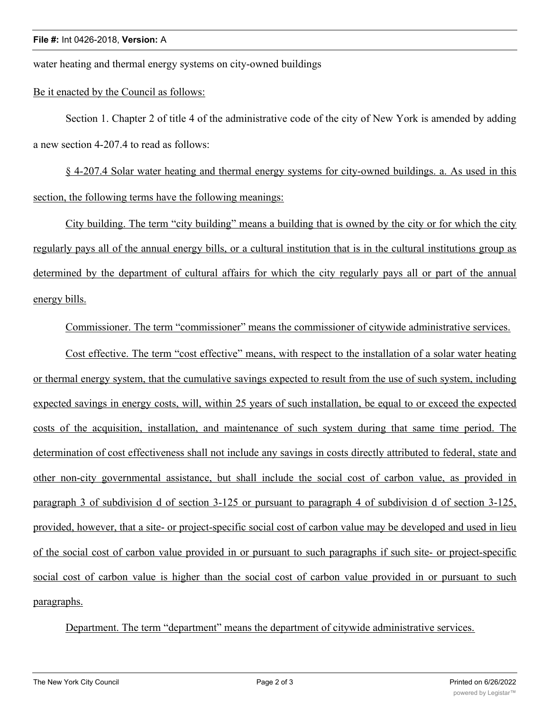water heating and thermal energy systems on city-owned buildings

Be it enacted by the Council as follows:

Section 1. Chapter 2 of title 4 of the administrative code of the city of New York is amended by adding a new section 4-207.4 to read as follows:

§ 4-207.4 Solar water heating and thermal energy systems for city-owned buildings. a. As used in this section, the following terms have the following meanings:

City building. The term "city building" means a building that is owned by the city or for which the city regularly pays all of the annual energy bills, or a cultural institution that is in the cultural institutions group as determined by the department of cultural affairs for which the city regularly pays all or part of the annual energy bills.

Commissioner. The term "commissioner" means the commissioner of citywide administrative services.

Cost effective. The term "cost effective" means, with respect to the installation of a solar water heating or thermal energy system, that the cumulative savings expected to result from the use of such system, including expected savings in energy costs, will, within 25 years of such installation, be equal to or exceed the expected costs of the acquisition, installation, and maintenance of such system during that same time period. The determination of cost effectiveness shall not include any savings in costs directly attributed to federal, state and other non-city governmental assistance, but shall include the social cost of carbon value, as provided in paragraph 3 of subdivision d of section 3-125 or pursuant to paragraph 4 of subdivision d of section 3-125, provided, however, that a site- or project-specific social cost of carbon value may be developed and used in lieu of the social cost of carbon value provided in or pursuant to such paragraphs if such site- or project-specific social cost of carbon value is higher than the social cost of carbon value provided in or pursuant to such paragraphs.

Department. The term "department" means the department of citywide administrative services.